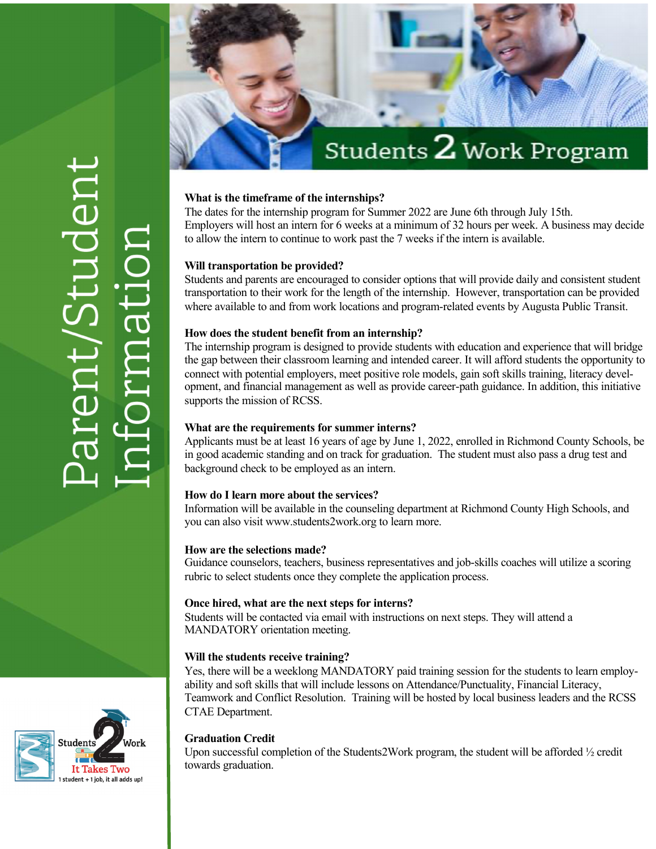# Students  ${\mathbf 2}$  Work Program

# **What is the timeframe of the internships?**

The dates for the internship program for Summer 2022 are June 6th through July 15th. Employers will host an intern for 6 weeks at a minimum of 32 hours per week. A business may decide to allow the intern to continue to work past the 7 weeks if the intern is available.

#### **Will transportation be provided?**

Students and parents are encouraged to consider options that will provide daily and consistent student transportation to their work for the length of the internship. However, transportation can be provided where available to and from work locations and program-related events by Augusta Public Transit.

#### **How does the student benefit from an internship?**

The internship program is designed to provide students with education and experience that will bridge the gap between their classroom learning and intended career. It will afford students the opportunity to connect with potential employers, meet positive role models, gain soft skills training, literacy development, and financial management as well as provide career-path guidance. In addition, this initiative supports the mission of RCSS.

# **What are the requirements for summer interns?**

Applicants must be at least 16 years of age by June 1, 2022, enrolled in Richmond County Schools, be in good academic standing and on track for graduation. The student must also pass a drug test and background check to be employed as an intern.

# **How do I learn more about the services?**

Information will be available in the counseling department at Richmond County High Schools, and you can also visit www.students2work.org to learn more.

#### **How are the selections made?**

Guidance counselors, teachers, business representatives and job-skills coaches will utilize a scoring rubric to select students once they complete the application process.

#### **Once hired, what are the next steps for interns?**

Students will be contacted via email with instructions on next steps. They will attend a MANDATORY orientation meeting.

#### **Will the students receive training?**

Yes, there will be a weeklong MANDATORY paid training session for the students to learn employability and soft skills that will include lessons on Attendance/Punctuality, Financial Literacy, Teamwork and Conflict Resolution. Training will be hosted by local business leaders and the RCSS CTAE Department.

#### **Graduation Credit**

Upon successful completion of the Students2Work program, the student will be afforded  $\frac{1}{2}$  credit towards graduation.